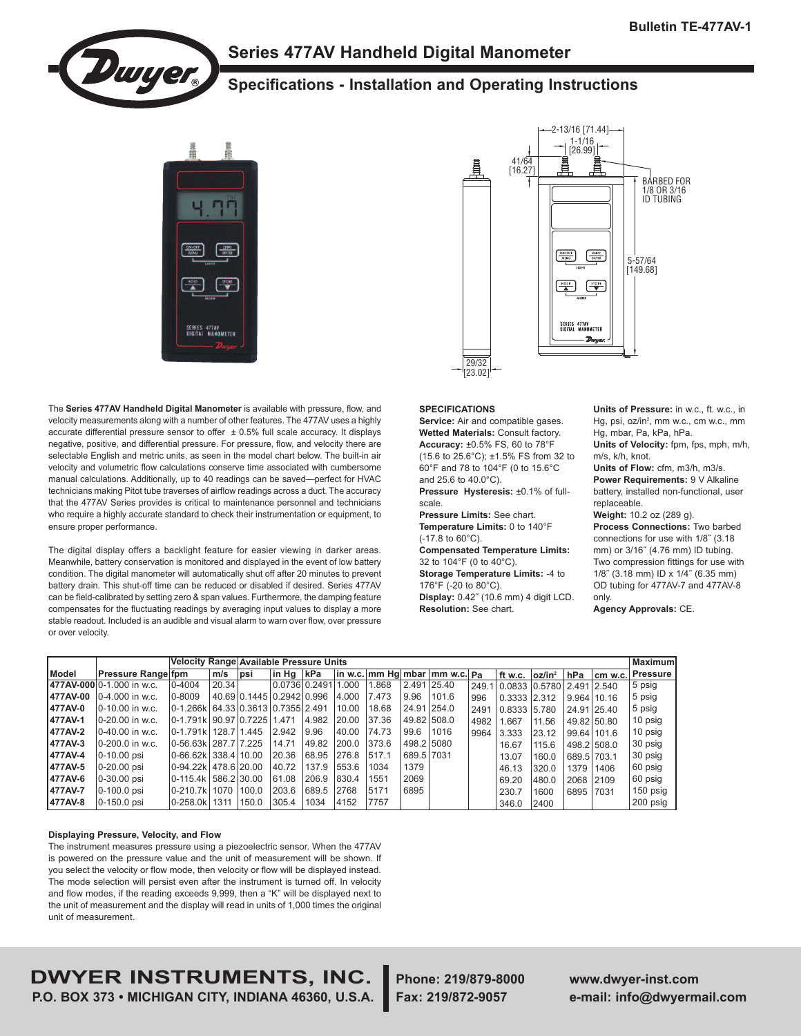

# **Series 477AV Handheld Digital Manometer**

# **Specifications - Installation and Operating Instructions**



The **Series 477AV Handheld Digital Manometer** is available with pressure, flow, and velocity measurements along with a number of other features. The 477AV uses a highly accurate differential pressure sensor to offer  $\pm$  0.5% full scale accuracy. It displays negative, positive, and differential pressure. For pressure, flow, and velocity there are selectable English and metric units, as seen in the model chart below. The built-in air velocity and volumetric flow calculations conserve time associated with cumbersome manual calculations. Additionally, up to 40 readings can be saved—perfect for HVAC technicians making Pitot tube traverses of airflow readings across a duct. The accuracy that the 477AV Series provides is critical to maintenance personnel and technicians who require a highly accurate standard to check their instrumentation or equipment, to ensure proper performance.

The digital display offers a backlight feature for easier viewing in darker areas. Meanwhile, battery conservation is monitored and displayed in the event of low battery condition. The digital manometer will automatically shut off after 20 minutes to prevent battery drain. This shut-off time can be reduced or disabled if desired. Series 477AV can be field-calibrated by setting zero & span values. Furthermore, the damping feature compensates for the fluctuating readings by averaging input values to display a more stable readout. Included is an audible and visual alarm to warn over flow, over pressure or over velocity.



#### **SPECIFICATIONS**

**Service:** Air and compatible gases. **Wetted Materials:** Consult factory. **Accuracy:** ±0.5% FS, 60 to 78°F (15.6 to 25.6°C); ±1.5% FS from 32 to 60°F and 78 to 104°F (0 to 15.6°C and 25.6 to 40.0°C).

**Pressure Hysteresis:** ±0.1% of fullscale.

**Pressure Limits:** See chart. **Temperature Limits:** 0 to 140°F (-17.8 to 60°C). **Compensated Temperature Limits:** 32 to 104°F (0 to 40°C). **Storage Temperature Limits:** -4 to 176°F (-20 to 80°C). **Display:** 0.42˝ (10.6 mm) 4 digit LCD. **Resolution:** See chart.

**Units of Pressure:** in w.c., ft. w.c., in Hg, psi, oz/in<sup>2</sup>, mm w.c., cm w.c., mm Hg, mbar, Pa, kPa, hPa.

**Units of Velocity:** fpm, fps, mph, m/h, m/s, k/h, knot.

**Units of Flow:** cfm, m3/h, m3/s. **Power Requirements:** 9 V Alkaline battery, installed non-functional, user replaceable.

**Weight:** 10.2 oz (289 g).

**Process Connections:** Two barbed connections for use with 1/8˝ (3.18 mm) or 3/16˝ (4.76 mm) ID tubing. Two compression fittings for use with 1/8˝ (3.18 mm) ID x 1/4˝ (6.35 mm) OD tubing for 477AV-7 and 477AV-8 only.

**Agency Approvals:** CE.

|              |                            |                                    | Velocity Range Available Pressure Units<br><b>Maximum</b> |                           |            |                     |       |       |             |                                                     |      |                                 |                    |             |                   |           |
|--------------|----------------------------|------------------------------------|-----------------------------------------------------------|---------------------------|------------|---------------------|-------|-------|-------------|-----------------------------------------------------|------|---------------------------------|--------------------|-------------|-------------------|-----------|
| <b>Model</b> | Pressure Range fpm         |                                    | m/s                                                       | psi                       | ∣in Hɑ∣kPa |                     |       |       |             | $\ln$ w.c. $\ln m$ Hg $\ln b$ ar $\ln m$ w.c. $p_a$ |      | ft w.c.                         | oz/in <sup>2</sup> |             | $hPa$ $cm$ $w.c.$ | Pressure  |
|              | 1477AV-000 0-1.000 in w.c. | $ 0 - 4004$                        | 20.34                                                     |                           |            | 0.0736 0.2491 1.000 |       | .868  | 2.491 25.40 |                                                     |      | 249.1 0.0833 0.5780 2.491 2.540 |                    |             |                   | 5 psig    |
| 477AV-00     | $[0-4.000]$ in w.c.        | $0 - 8009$                         |                                                           | 40.69 0.1445 0.2942 0.996 |            |                     | 4.000 | 7.473 | 9.96        | 101.6                                               | 996  | 0.3333 2.312                    |                    | 9.964 10.16 |                   | 5 psig    |
| 477AV-0      | 0-10.00 in w.c.            | 0-1.266k 64.33 0.3613 0.7355 2.491 |                                                           |                           |            |                     | 10.00 | 18.68 |             | 24.91 254.0                                         | 2491 | $0.8333$ 5.780                  |                    | 24.91 25.40 |                   | 5 psig    |
| 477AV-1      | 0-20.00 in w.c.            | 0-1.791k   90.97   0.7225   1.471  |                                                           |                           |            | 4.982               | 20.00 | 37.36 | 49.821508.0 |                                                     | 4982 | 1.667                           | 11.56              |             | 49.82 50.80       | 10 psig   |
| 477AV-2      | 0-40.00 in w.c.            | $0 - 1.791k$                       | 128.7 1.445                                               |                           | 2.942      | 9.96                | 40.00 | 74.73 | 99.6        | 1016                                                | 9964 | 3.333                           | 23.12              |             | 99.64 101.6       | 10 psig   |
| 477AV-3      | 0-200.0 in w.c.            | 0-56.63k 287.7 7.225               |                                                           |                           | 14.71      | 49.82               | 200.0 | 373.6 | 498.2 5080  |                                                     |      | 16.67                           | 115.6              |             | 498.2 508.0       | 30 psig   |
| 477AV-4      | 0-10.00 psi                | 0-66.62k 338.4 10.00               |                                                           |                           | 20.36      | 68.95  276.8        |       | 517.1 | 689.5 7031  |                                                     |      | 13.07                           | 160.0              | 689.5 703.1 |                   | 30 psig   |
| 477AV-5      | 0-20.00 psi                | 0-94.22k 478.6 20.00               |                                                           |                           | 40.72      | 137.9               | 553.6 | 1034  | 1379        |                                                     |      | 46.13                           | 320.0              | 1379        | 1406              | 60 psig   |
| 477AV-6      | 0-30.00 psi                | 0-115.4k 586.2 30.00               |                                                           |                           | 61.08      | 206.9               | 830.4 | 1551  | 2069        |                                                     |      | 69.20                           | 480.0              | 2068 2109   |                   | 60 psig   |
| 477AV-7      | 0-100.0 psi                | 0-210.7k   1070                    |                                                           | 100.0                     | 203.6      | 689.5               | 2768  | 5171  | 6895        |                                                     |      | 230.7                           | 1600               | 6895 7031   |                   | 150 psig  |
| 477AV-8      | $0-150.0$ psi              | 0-258.0k   1311                    |                                                           | 150.0                     | 305.4      | 1034                | 4152  | 7757  |             |                                                     |      | 346.0                           | 2400               |             |                   | ,200 psig |

# **Displaying Pressure, Velocity, and Flow**

The instrument measures pressure using a piezoelectric sensor. When the 477AV is powered on the pressure value and the unit of measurement will be shown. If you select the velocity or flow mode, then velocity or flow will be displayed instead. The mode selection will persist even after the instrument is turned off. In velocity and flow modes, if the reading exceeds 9,999, then a "K" will be displayed next to the unit of measurement and the display will read in units of 1,000 times the original unit of measurement.

**DWYER INSTRUMENTS, INC. Phone: 219/879-8000 www.dwyer-inst.com P.O. BOX 373 • MICHIGAN CITY, INDIANA 46360, U.S.A. Fax: 219/872-9057 e-mail: info@dwyermail.com**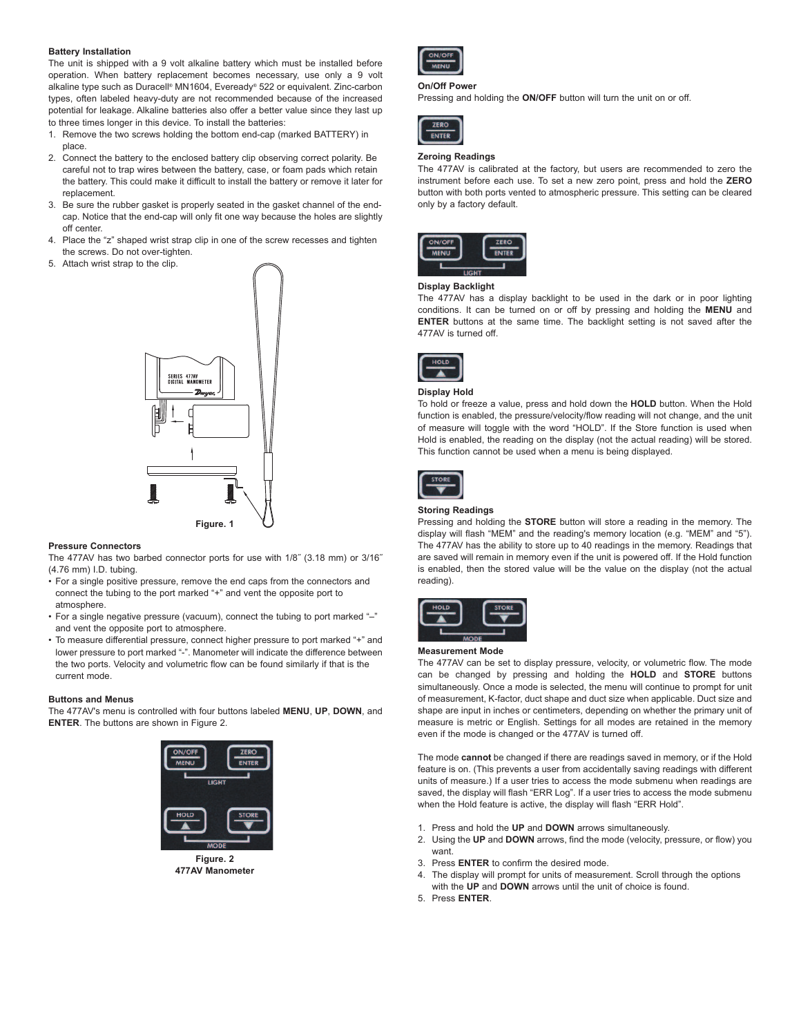# **Battery Installation**

The unit is shipped with a 9 volt alkaline battery which must be installed before operation. When battery replacement becomes necessary, use only a 9 volt alkaline type such as Duracell ® MN1604, Eveready® 522 or equivalent. Zinc-carbon types, often labeled heavy-duty are not recommended because of the increased potential for leakage. Alkaline batteries also offer a better value since they last up to three times longer in this device. To install the batteries:

- 1. Remove the two screws holding the bottom end-cap (marked BATTERY) in place.
- 2. Connect the battery to the enclosed battery clip observing correct polarity. Be careful not to trap wires between the battery, case, or foam pads which retain the battery. This could make it difficult to install the battery or remove it later for replacement.
- 3. Be sure the rubber gasket is properly seated in the gasket channel of the endcap. Notice that the end-cap will only fit one way because the holes are slightly off center.
- 4. Place the "z" shaped wrist strap clip in one of the screw recesses and tighten the screws. Do not over-tighten.
- 5. Attach wrist strap to the clip.



# **Pressure Connectors**

The 477AV has two barbed connector ports for use with 1/8˝ (3.18 mm) or 3/16˝ (4.76 mm) I.D. tubing.

- For a single positive pressure, remove the end caps from the connectors and connect the tubing to the port marked "+" and vent the opposite port to atmosphere.
- For a single negative pressure (vacuum), connect the tubing to port marked "-" and vent the opposite port to atmosphere.
- To measure differential pressure, connect higher pressure to port marked "+" and lower pressure to port marked "-". Manometer will indicate the difference between the two ports. Velocity and volumetric flow can be found similarly if that is the current mode.

# **Buttons and Menus**

The 477AV's menu is controlled with four buttons labeled **MENU**, **UP**, **DOWN**, and **ENTER.** The buttons are shown in Figure 2.



**Figure. 2 477AV Manometer**



#### **On/Off Power**

Pressing and holding the **ON/OFF** button will turn the unit on or off.



# **Zeroing Readings**

The 477AV is calibrated at the factory, but users are recommended to zero the instrument before each use. To set a new zero point, press and hold the **ZERO** button with both ports vented to atmospheric pressure. This setting can be cleared only by a factory default.



# **Display Backlight**

The 477AV has a display backlight to be used in the dark or in poor lighting conditions. It can be turned on or off by pressing and holding the **MENU** and **ENTER** buttons at the same time. The backlight setting is not saved after the 477AV is turned off.



#### **Display Hold**

To hold or freeze a value, press and hold down the **HOLD** button. When the Hold function is enabled, the pressure/velocity/flow reading will not change, and the unit of measure will toggle with the word "HOLD". If the Store function is used when Hold is enabled, the reading on the display (not the actual reading) will be stored. This function cannot be used when a menu is being displayed.



#### **Storing Readings**

Pressing and holding the **STORE** button will store a reading in the memory. The display will flash "MEM" and the reading's memory location (e.g. "MEM" and "5"). The 477AV has the ability to store up to 40 readings in the memory. Readings that are saved will remain in memory even if the unit is powered off. If the Hold function is enabled, then the stored value will be the value on the display (not the actual reading).



#### **Measurement Mode**

The 477AV can be set to display pressure, velocity, or volumetric flow. The mode can be changed by pressing and holding the **HOLD** and **STORE** buttons simultaneously. Once a mode is selected, the menu will continue to prompt for unit of measurement, K-factor, duct shape and duct size when applicable. Duct size and shape are input in inches or centimeters, depending on whether the primary unit of measure is metric or English. Settings for all modes are retained in the memory even if the mode is changed or the 477AV is turned off.

The mode **cannot** be changed if there are readings saved in memory, or if the Hold feature is on. (This prevents a user from accidentally saving readings with different units of measure.) If a user tries to access the mode submenu when readings are saved, the display will flash "ERR Log". If a user tries to access the mode submenu when the Hold feature is active, the display will flash "ERR Hold".

- 1. Press and hold the **UP** and **DOWN** arrows simultaneously.
- 2. Using the **UP** and **DOWN** arrows, find the mode (velocity, pressure, or flow) you want.
- 3. Press **ENTER** to confirm the desired mode.
- 4. The display will prompt for units of measurement. Scroll through the options with the **UP** and **DOWN** arrows until the unit of choice is found.
- 5. Press **ENTER**.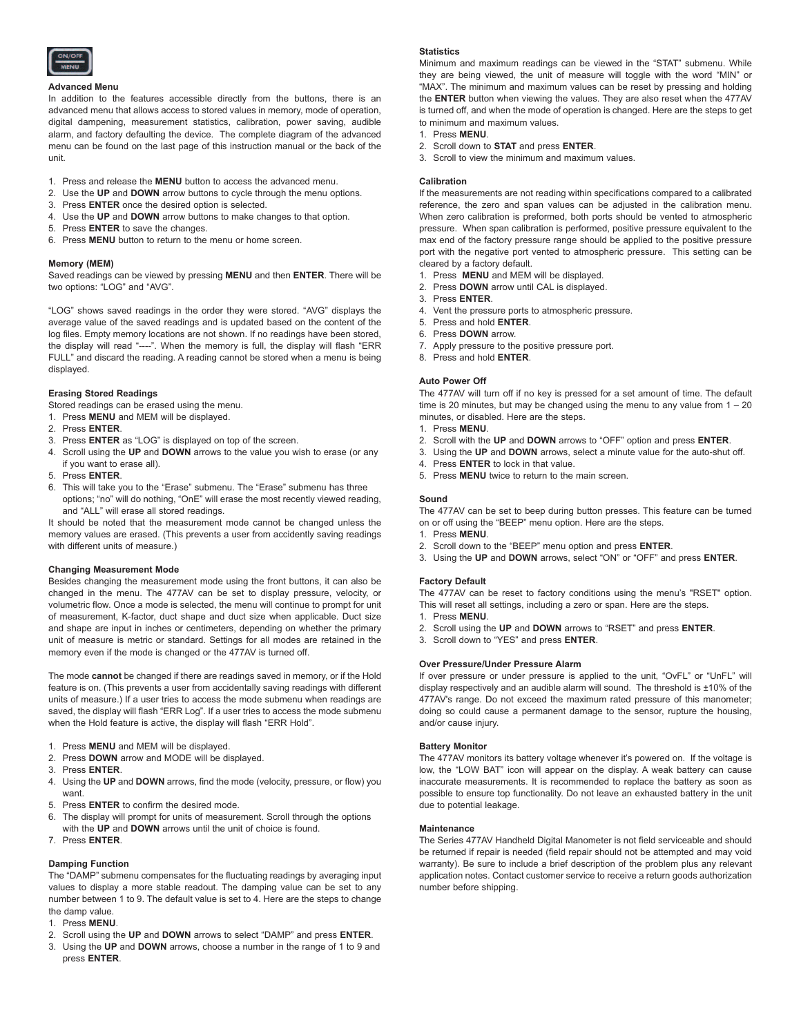

# **Advanced Menu**

In addition to the features accessible directly from the buttons, there is an advanced menu that allows access to stored values in memory, mode of operation, digital dampening, measurement statistics, calibration, power saving, audible alarm, and factory defaulting the device. The complete diagram of the advanced menu can be found on the last page of this instruction manual or the back of the unit.

- 1. Press and release the **MENU** button to access the advanced menu.
- 2. Use the **UP** and **DOWN** arrow buttons to cycle through the menu options.
- 3. Press **ENTER** once the desired option is selected.
- 4. Use the **UP** and **DOWN** arrow buttons to make changes to that option.
- 5. Press **ENTER** to save the changes.
- 6. Press **MENU** button to return to the menu or home screen.

# **Memory (MEM)**

Saved readings can be viewed by pressing **MENU** and then **ENTER**. There will be two options: "LOG" and "AVG".

"LOG" shows saved readings in the order they were stored. "AVG" displays the average value of the saved readings and is updated based on the content of the log files. Empty memory locations are not shown. If no readings have been stored, the display will read "----". When the memory is full, the display will flash "ERR FULL" and discard the reading. A reading cannot be stored when a menu is being displayed.

# **Erasing Stored Readings**

Stored readings can be erased using the menu.

1. Press **MENU** and MEM will be displayed.

#### 2. Press **ENTER**.

- 3. Press **ENTER** as "LOG" is displayed on top of the screen.
- 4. Scroll using the **UP** and **DOWN** arrows to the value you wish to erase (or any if you want to erase all).
- 5. Press **ENTER**.
- 6. This will take you to the "Erase" submenu. The "Erase" submenu has three options; "no" will do nothing, "OnE" will erase the most recently viewed reading, and "ALL" will erase all stored readings.

It should be noted that the measurement mode cannot be changed unless the memory values are erased. (This prevents a user from accidently saving readings with different units of measure.)

# **Changing Measurement Mode**

Besides changing the measurement mode using the front buttons, it can also be changed in the menu. The 477AV can be set to display pressure, velocity, or volumetric flow. Once a mode is selected, the menu will continue to prompt for unit of measurement, K-factor, duct shape and duct size when applicable. Duct size and shape are input in inches or centimeters, depending on whether the primary unit of measure is metric or standard. Settings for all modes are retained in the memory even if the mode is changed or the 477AV is turned off.

The mode **cannot** be changed if there are readings saved in memory, or if the Hold feature is on. (This prevents a user from accidentally saving readings with different units of measure.) If a user tries to access the mode submenu when readings are saved, the display will flash "ERR Log". If a user tries to access the mode submenu when the Hold feature is active, the display will flash "ERR Hold".

- 1. Press **MENU** and MEM will be displayed.
- 2. Press **DOWN** arrow and MODE will be displayed.
- 3. Press **ENTER**.
- 4. Using the **UP** and **DOWN** arrows, find the mode (velocity, pressure, or flow) you want.
- 5. Press **ENTER** to confirm the desired mode.
- 6. The display will prompt for units of measurement. Scroll through the options with the **UP** and **DOWN** arrows until the unit of choice is found.
- 7. Press **ENTER**.

# **Damping Function**

The "DAMP" submenu compensates for the fluctuating readings by averaging input values to display a more stable readout. The damping value can be set to any number between 1 to 9. The default value is set to 4. Here are the steps to change the damp value.

- 1. Press **MENU**.
- 2. Scroll using the **UP** and **DOWN** arrows to select "DAMP" and press **ENTER**.
- 3. Using the **UP** and **DOWN** arrows, choose a number in the range of 1 to 9 and press **ENTER**.

# **Statistics**

Minimum and maximum readings can be viewed in the "STAT" submenu. While they are being viewed, the unit of measure will toggle with the word "MIN" or "MAX". The minimum and maximum values can be reset by pressing and holding the **ENTER** button when viewing the values. They are also reset when the 477AV is turned off, and when the mode of operation is changed. Here are the steps to get to minimum and maximum values.

- 1. Press **MENU**.
- 2. Scroll down to **STAT** and press **ENTER**.
- 3. Scroll to view the minimum and maximum values.

# **Calibration**

If the measurements are not reading within specifications compared to a calibrated reference, the zero and span values can be adjusted in the calibration menu. When zero calibration is preformed, both ports should be vented to atmospheric pressure. When span calibration is performed, positive pressure equivalent to the max end of the factory pressure range should be applied to the positive pressure port with the negative port vented to atmospheric pressure. This setting can be cleared by a factory default.

- 1. Press **MENU** and MEM will be displayed.
- 2. Press **DOWN** arrow until CAL is displayed.
- 3. Press **ENTER**.
- 4. Vent the pressure ports to atmospheric pressure.
- 5. Press and hold **ENTER**.
- 6. Press **DOWN** arrow.
- 7. Apply pressure to the positive pressure port.
- 8. Press and hold **ENTER**.

# **Auto Power Off**

The 477AV will turn off if no key is pressed for a set amount of time. The default time is 20 minutes, but may be changed using the menu to any value from  $1 - 20$ minutes, or disabled. Here are the steps.

- 1. Press **MENU**.
- 2. Scroll with the **UP** and **DOWN** arrows to "OFF" option and press **ENTER**.
- 3. Using the **UP** and **DOWN** arrows, select a minute value for the auto-shut off.
- 4. Press **ENTER** to lock in that value.
- 5. Press **MENU** twice to return to the main screen.

#### **Sound**

The 477AV can be set to beep during button presses. This feature can be turned on or off using the "BEEP" menu option. Here are the steps.

- 1. Press **MENU**.
- 2. Scroll down to the "BEEP" menu option and press **ENTER**.
- 3. Using the **UP** and **DOWN** arrows, select "ON" or "OFF" and press **ENTER**.

# **Factory Default**

The 477AV can be reset to factory conditions using the menu's "RSET" option. This will reset all settings, including a zero or span. Here are the steps.

- 1. Press **MENU**.
- 2. Scroll using the **UP** and **DOWN** arrows to "RSET" and press **ENTER**.
- 3. Scroll down to "YES" and press **ENTER**.

# **Over Pressure/Under Pressure Alarm**

If over pressure or under pressure is applied to the unit, "OvFL" or "UnFL" will display respectively and an audible alarm will sound. The threshold is ±10% of the 477AV's range. Do not exceed the maximum rated pressure of this manometer; doing so could cause a permanent damage to the sensor, rupture the housing, and/or cause injury.

# **Battery Monitor**

The 477AV monitors its battery voltage whenever it's powered on. If the voltage is low, the "LOW BAT" icon will appear on the display. A weak battery can cause inaccurate measurements. It is recommended to replace the battery as soon as possible to ensure top functionality. Do not leave an exhausted battery in the unit due to potential leakage.

# **Maintenance**

The Series 477AV Handheld Digital Manometer is not field serviceable and should be returned if repair is needed (field repair should not be attempted and may void warranty). Be sure to include a brief description of the problem plus any relevant application notes. Contact customer service to receive a return goods authorization number before shipping.